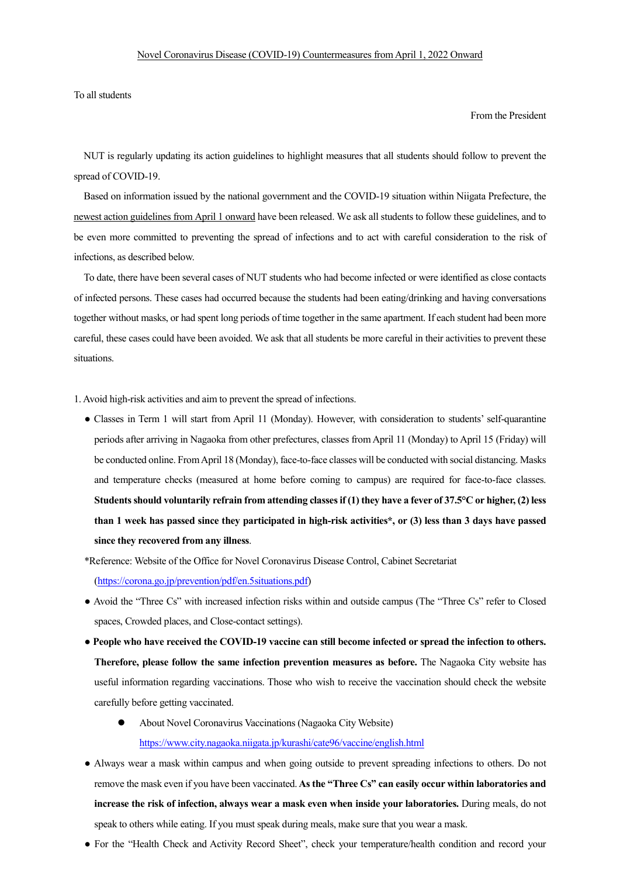To all students

## From the President

NUT is regularly updating its action guidelines to highlight measures that all students should follow to prevent the spread of COVID-19.

Based on information issued by the national government and the COVID-19 situation within Niigata Prefecture, the newest action guidelines from April 1 onward have been released. We ask all students to follow these guidelines, and to be even more committed to preventing the spread of infections and to act with careful consideration to the risk of infections, as described below.

To date, there have been several cases of NUT students who had become infected or were identified as close contacts of infected persons. These cases had occurred because the students had been eating/drinking and having conversations together without masks, or had spent long periods of time together in the same apartment. If each student had been more careful, these cases could have been avoided. We ask that all students be more careful in their activities to prevent these situations.

1. Avoid high-risk activities and aim to prevent the spread of infections.

● Classes in Term 1 will start from April 11 (Monday). However, with consideration to students' self-quarantine periods after arriving in Nagaoka from other prefectures, classes from April 11 (Monday) to April 15 (Friday) will be conducted online. From April 18 (Monday), face-to-face classes will be conducted with social distancing. Masks and temperature checks (measured at home before coming to campus) are required for face-to-face classes. **Students should voluntarily refrain from attending classes if (1) they have a fever of 37.5°C or higher, (2) less than 1 week has passed since they participated in high-risk activities\*, or (3) less than 3 days have passed since they recovered from any illness**.

\*Reference: Website of the Office for Novel Coronavirus Disease Control, Cabinet Secretariat (https://corona.go.jp/prevention/pdf/en.5situations.pdf)

- Avoid the "Three Cs" with increased infection risks within and outside campus (The "Three Cs" refer to Closed spaces, Crowded places, and Close-contact settings).
- **People who have received the COVID-19 vaccine can still become infected or spread the infection to others. Therefore, please follow the same infection prevention measures as before.** The Nagaoka City website has useful information regarding vaccinations. Those who wish to receive the vaccination should check the website carefully before getting vaccinated.
	- About Novel Coronavirus Vaccinations (Nagaoka City Website) https://www.city.nagaoka.niigata.jp/kurashi/cate96/vaccine/english.html
- Always wear a mask within campus and when going outside to prevent spreading infections to others. Do not remove the mask even if you have been vaccinated. **As the "Three Cs" can easily occur within laboratories and increase the risk of infection, always wear a mask even when inside your laboratories.** During meals, do not speak to others while eating. If you must speak during meals, make sure that you wear a mask.
- For the "Health Check and Activity Record Sheet", check your temperature/health condition and record your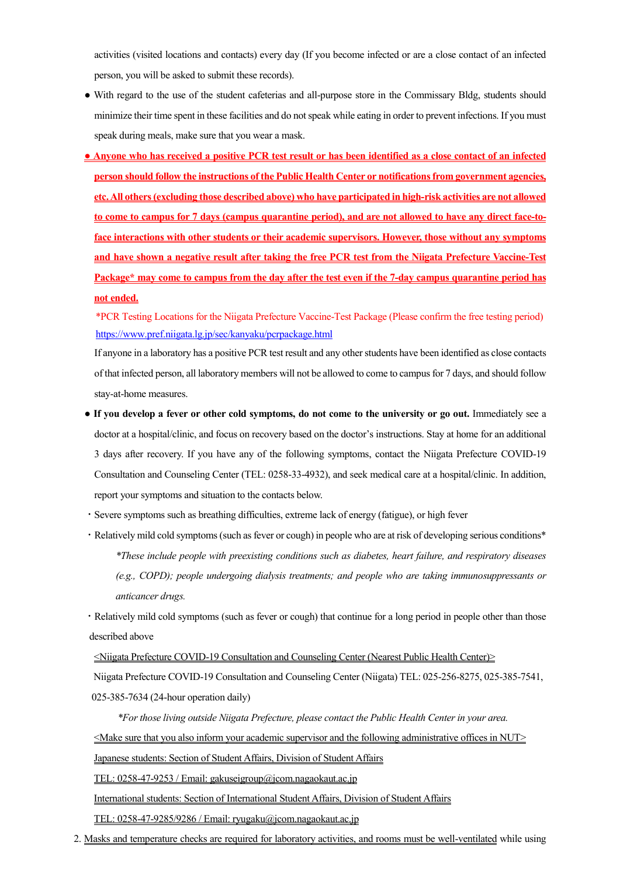activities (visited locations and contacts) every day (If you become infected or are a close contact of an infected person, you will be asked to submit these records).

- With regard to the use of the student cafeterias and all-purpose store in the Commissary Bldg, students should minimize their time spent in these facilities and do not speak while eating in order to prevent infections. If you must speak during meals, make sure that you wear a mask.
- **Anyone who has received a positive PCR test result or has been identified as a close contact of an infected person should follow the instructions of the Public Health Center or notifications from government agencies, etc. All others (excluding those described above) who have participated in high-risk activities are not allowed to come to campus for 7 days (campus quarantine period), and are not allowed to have any direct face-toface interactions with other students or their academic supervisors. However, those without any symptoms and have shown a negative result after taking the free PCR test from the Niigata Prefecture Vaccine-Test Package\* may come to campus from the day after the test even if the 7-day campus quarantine period has not ended.**

\*PCR Testing Locations for the Niigata Prefecture Vaccine-Test Package (Please confirm the free testing period) https://www.pref.niigata.lg.jp/sec/kanyaku/pcrpackage.html

If anyone in a laboratory has a positive PCR test result and any other students have been identified as close contacts of that infected person, all laboratory members will not be allowed to come to campus for 7 days, and should follow stay-at-home measures.

- **If you develop a fever or other cold symptoms, do not come to the university or go out.** Immediately see a doctor at a hospital/clinic, and focus on recovery based on the doctor's instructions. Stay at home for an additional 3 days after recovery. If you have any of the following symptoms, contact the Niigata Prefecture COVID-19 Consultation and Counseling Center (TEL: 0258-33-4932), and seek medical care at a hospital/clinic. In addition, report your symptoms and situation to the contacts below.
- ・Severe symptoms such as breathing difficulties, extreme lack of energy (fatigue), or high fever
- ・Relatively mild cold symptoms (such as fever or cough) in people who are at risk of developing serious conditions\* *\*These include people with preexisting conditions such as diabetes, heart failure, and respiratory diseases (e.g., COPD); people undergoing dialysis treatments; and people who are taking immunosuppressants or anticancer drugs.*

・Relatively mild cold symptoms (such as fever or cough) that continue for a long period in people other than those described above

<Niigata Prefecture COVID-19 Consultation and Counseling Center (Nearest Public Health Center)> Niigata Prefecture COVID-19 Consultation and Counseling Center (Niigata) TEL: 025-256-8275, 025-385-7541, 025-385-7634 (24-hour operation daily)

*\*For those living outside Niigata Prefecture, please contact the Public Health Center in your area.* <Make sure that you also inform your academic supervisor and the following administrative offices in NUT> Japanese students: Section of Student Affairs, Division of Student Affairs TEL: 0258-47-9253 / Email: gakuseigroup@jcom.nagaokaut.ac.jp International students: Section of International Student Affairs, Division of Student Affairs TEL: 0258-47-9285/9286 / Email: ryugaku@jcom.nagaokaut.ac.jp

2. Masks and temperature checks are required for laboratory activities, and rooms must be well-ventilated while using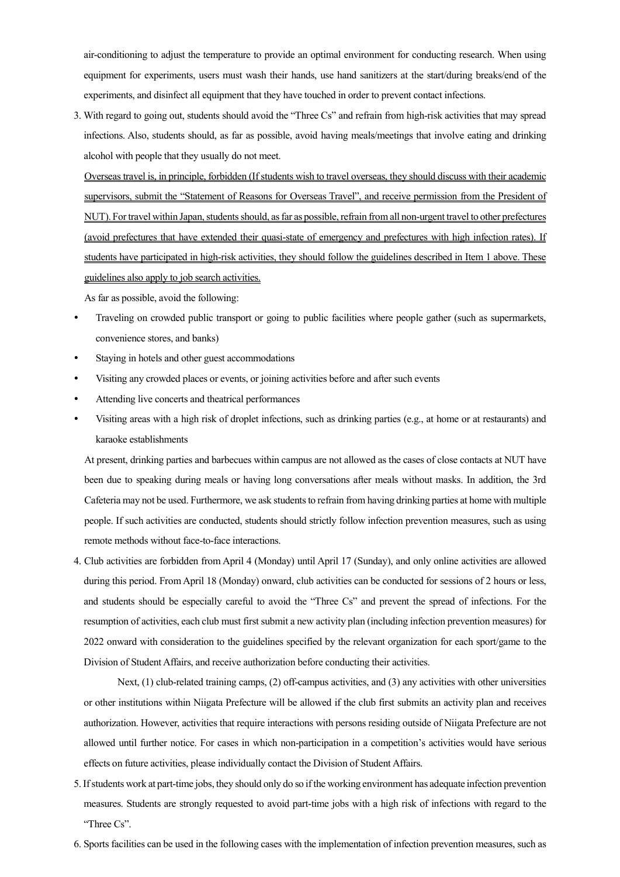air-conditioning to adjust the temperature to provide an optimal environment for conducting research. When using equipment for experiments, users must wash their hands, use hand sanitizers at the start/during breaks/end of the experiments, and disinfect all equipment that they have touched in order to prevent contact infections.

3. With regard to going out, students should avoid the "Three Cs" and refrain from high-risk activities that may spread infections. Also, students should, as far as possible, avoid having meals/meetings that involve eating and drinking alcohol with people that they usually do not meet.

Overseas travel is, in principle, forbidden (If students wish to travel overseas, they should discuss with their academic supervisors, submit the "Statement of Reasons for Overseas Travel", and receive permission from the President of NUT). For travel within Japan, students should, as far as possible, refrain from all non-urgent travel to other prefectures (avoid prefectures that have extended their quasi-state of emergency and prefectures with high infection rates). If students have participated in high-risk activities, they should follow the guidelines described in Item 1 above. These guidelines also apply to job search activities.

As far as possible, avoid the following:

- Traveling on crowded public transport or going to public facilities where people gather (such as supermarkets, convenience stores, and banks)
- Staying in hotels and other guest accommodations
- Visiting any crowded places or events, or joining activities before and after such events
- Attending live concerts and theatrical performances
- Visiting areas with a high risk of droplet infections, such as drinking parties (e.g., at home or at restaurants) and karaoke establishments

At present, drinking parties and barbecues within campus are not allowed as the cases of close contacts at NUT have been due to speaking during meals or having long conversations after meals without masks. In addition, the 3rd Cafeteria may not be used. Furthermore, we ask students to refrain from having drinking parties at home with multiple people. If such activities are conducted, students should strictly follow infection prevention measures, such as using remote methods without face-to-face interactions.

4. Club activities are forbidden from April 4 (Monday) until April 17 (Sunday), and only online activities are allowed during this period. From April 18 (Monday) onward, club activities can be conducted for sessions of 2 hours or less, and students should be especially careful to avoid the "Three Cs" and prevent the spread of infections. For the resumption of activities, each club must first submit a new activity plan (including infection prevention measures) for 2022 onward with consideration to the guidelines specified by the relevant organization for each sport/game to the Division of Student Affairs, and receive authorization before conducting their activities.

Next, (1) club-related training camps, (2) off-campus activities, and (3) any activities with other universities or other institutions within Niigata Prefecture will be allowed if the club first submits an activity plan and receives authorization. However, activities that require interactions with persons residing outside of Niigata Prefecture are not allowed until further notice. For cases in which non-participation in a competition's activities would have serious effects on future activities, please individually contact the Division of Student Affairs.

- 5. If students work at part-time jobs, they should only do so if the working environment has adequate infection prevention measures. Students are strongly requested to avoid part-time jobs with a high risk of infections with regard to the "Three Cs".
- 6. Sports facilities can be used in the following cases with the implementation of infection prevention measures, such as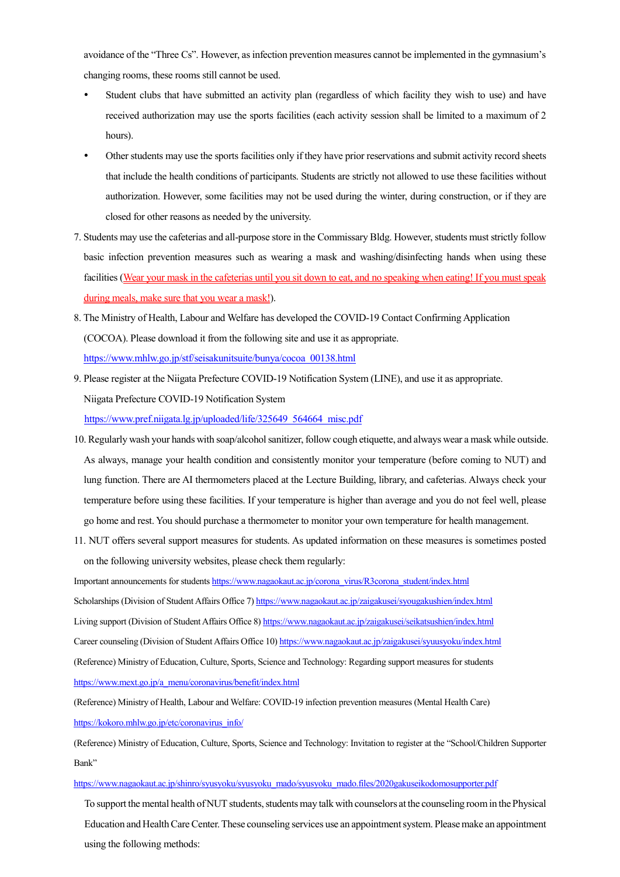avoidance of the "Three Cs". However, as infection prevention measures cannot be implemented in the gymnasium's changing rooms, these rooms still cannot be used.

- Student clubs that have submitted an activity plan (regardless of which facility they wish to use) and have received authorization may use the sports facilities (each activity session shall be limited to a maximum of 2 hours).
- Other students may use the sports facilities only if they have prior reservations and submit activity record sheets that include the health conditions of participants. Students are strictly not allowed to use these facilities without authorization. However, some facilities may not be used during the winter, during construction, or if they are closed for other reasons as needed by the university.
- 7. Students may use the cafeterias and all-purpose store in the Commissary Bldg. However, students must strictly follow basic infection prevention measures such as wearing a mask and washing/disinfecting hands when using these facilities (Wear your mask in the cafeterias until you sit down to eat, and no speaking when eating! If you must speak during meals, make sure that you wear a mask!).
- 8. The Ministry of Health, Labour and Welfare has developed the COVID-19 Contact Confirming Application (COCOA). Please download it from the following site and use it as appropriate. https://www.mhlw.go.jp/stf/seisakunitsuite/bunya/cocoa\_00138.html
- 9. Please register at the Niigata Prefecture COVID-19 Notification System (LINE), and use it as appropriate. Niigata Prefecture COVID-19 Notification System https://www.pref.niigata.lg.jp/uploaded/life/325649\_564664\_misc.pdf
- 10. Regularly wash your hands with soap/alcohol sanitizer, follow cough etiquette, and always wear a mask while outside. As always, manage your health condition and consistently monitor your temperature (before coming to NUT) and lung function. There are AI thermometers placed at the Lecture Building, library, and cafeterias. Always check your temperature before using these facilities. If your temperature is higher than average and you do not feel well, please go home and rest. You should purchase a thermometer to monitor your own temperature for health management.
- 11. NUT offers several support measures for students. As updated information on these measures is sometimes posted on the following university websites, please check them regularly:

Important announcements for students https://www.nagaokaut.ac.jp/corona\_virus/R3corona\_student/index.html

Scholarships (Division of Student Affairs Office 7) https://www.nagaokaut.ac.jp/zaigakusei/syougakushien/index.html

Living support (Division of Student Affairs Office 8) https://www.nagaokaut.ac.jp/zaigakusei/seikatsushien/index.html

Career counseling (Division of Student Affairs Office 10) https://www.nagaokaut.ac.jp/zaigakusei/syuusyoku/index.html

(Reference) Ministry of Education, Culture, Sports, Science and Technology: Regarding support measures for students https://www.mext.go.jp/a\_menu/coronavirus/benefit/index.html

(Reference) Ministry of Health, Labour and Welfare: COVID-19 infection prevention measures (Mental Health Care) https://kokoro.mhlw.go.jp/etc/coronavirus\_info/

(Reference) Ministry of Education, Culture, Sports, Science and Technology: Invitation to register at the "School/Children Supporter Bank"

https://www.nagaokaut.ac.jp/shinro/syusyoku/syusyoku\_mado/syusyoku\_mado.files/2020gakuseikodomosupporter.pdf

To support the mental health of NUT students, students may talk with counselors at the counseling room in the Physical Education and Health Care Center. These counseling services use an appointment system. Please make an appointment using the following methods: